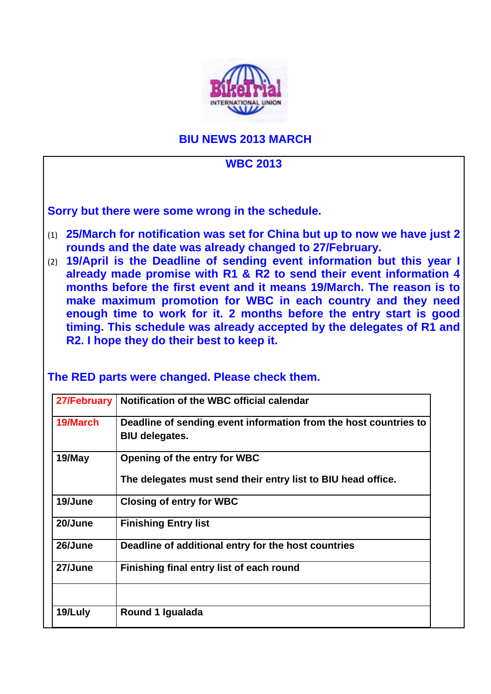

## **BIU NEWS 2013 MARCH**

# **WBC 2013 Sorry but there were some wrong in the schedule.**  (1) **25/March for notification was set for China but up to now we have just 2 rounds and the date was already changed to 27/February.**  (2) **19/April is the Deadline of sending event information but this year I already made promise with R1 & R2 to send their event information 4 months before the first event and it means 19/March. The reason is to make maximum promotion for WBC in each country and they need enough time to work for it. 2 months before the entry start is good timing. This schedule was already accepted by the delegates of R1 and R2. I hope they do their best to keep it. The RED parts were changed. Please check them. 27/February | Notification of the WBC official calendar 19/March Deadline of sending event information from the host countries to BIU delegates. 19/May Opening of the entry for WBC The delegates must send their entry list to BIU head office. 19/June Closing of entry for WBC 20/June Finishing Entry list 26/June Deadline of additional entry for the host countries 27/June Finishing final entry list of each round 19/Luly Round 1 Igualada**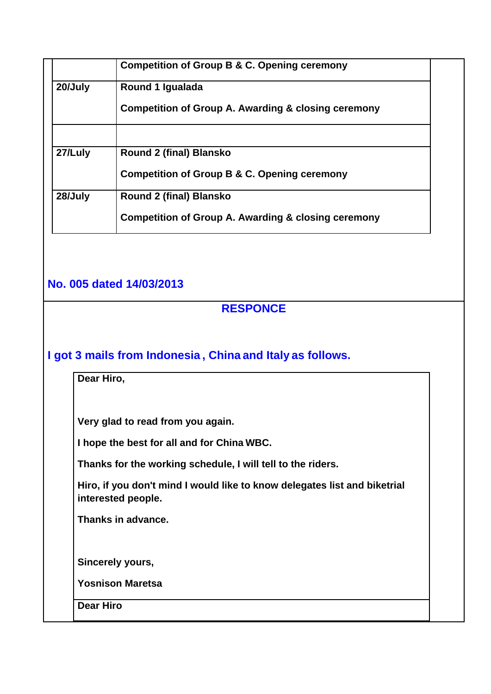|         | <b>Competition of Group B &amp; C. Opening ceremony</b>        |  |
|---------|----------------------------------------------------------------|--|
| 20/July | Round 1 Igualada                                               |  |
|         | <b>Competition of Group A. Awarding &amp; closing ceremony</b> |  |
|         |                                                                |  |
| 27/Luly | <b>Round 2 (final) Blansko</b>                                 |  |
|         | <b>Competition of Group B &amp; C. Opening ceremony</b>        |  |
| 28/July | <b>Round 2 (final) Blansko</b>                                 |  |
|         | <b>Competition of Group A. Awarding &amp; closing ceremony</b> |  |

# **No. 005 dated 14/03/2013**

#### **RESPONCE**

## **I got 3 mails from Indonesia , China and Italy as follows.**

**Dear Hiro,** 

**Very glad to read from you again.** 

**I hope the best for all and for China WBC.** 

**Thanks for the working schedule, I will tell to the riders.** 

**Hiro, if you don't mind I would like to know delegates list and biketrial interested people.** 

**Thanks in advance.** 

**Sincerely yours,** 

**Yosnison Maretsa** 

**Dear Hiro**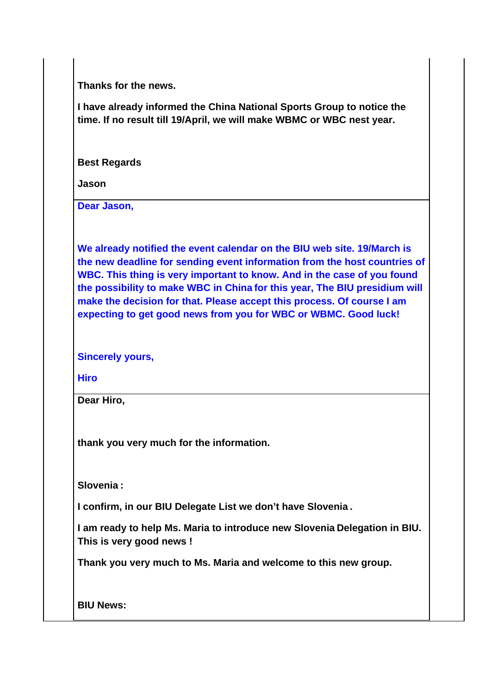**Thanks for the news.** 

**I have already informed the China National Sports Group to notice the time. If no result till 19/April, we will make WBMC or WBC nest year.** 

**Best Regards** 

**Jason** 

**Dear Jason,** 

**We already notified the event calendar on the BIU web site. 19/March is the new deadline for sending event information from the host countries of WBC. This thing is very important to know. And in the case of you found the possibility to make WBC in China for this year, The BIU presidium will make the decision for that. Please accept this process. Of course I am expecting to get good news from you for WBC or WBMC. Good luck!** 

**Sincerely yours,** 

**Hiro** 

**Dear Hiro,** 

**thank you very much for the information.** 

**Slovenia :** 

**I confirm, in our BIU Delegate List we don't have Slovenia .** 

**I am ready to help Ms. Maria to introduce new Slovenia Delegation in BIU. This is very good news !** 

**Thank you very much to Ms. Maria and welcome to this new group.** 

**BIU News:**